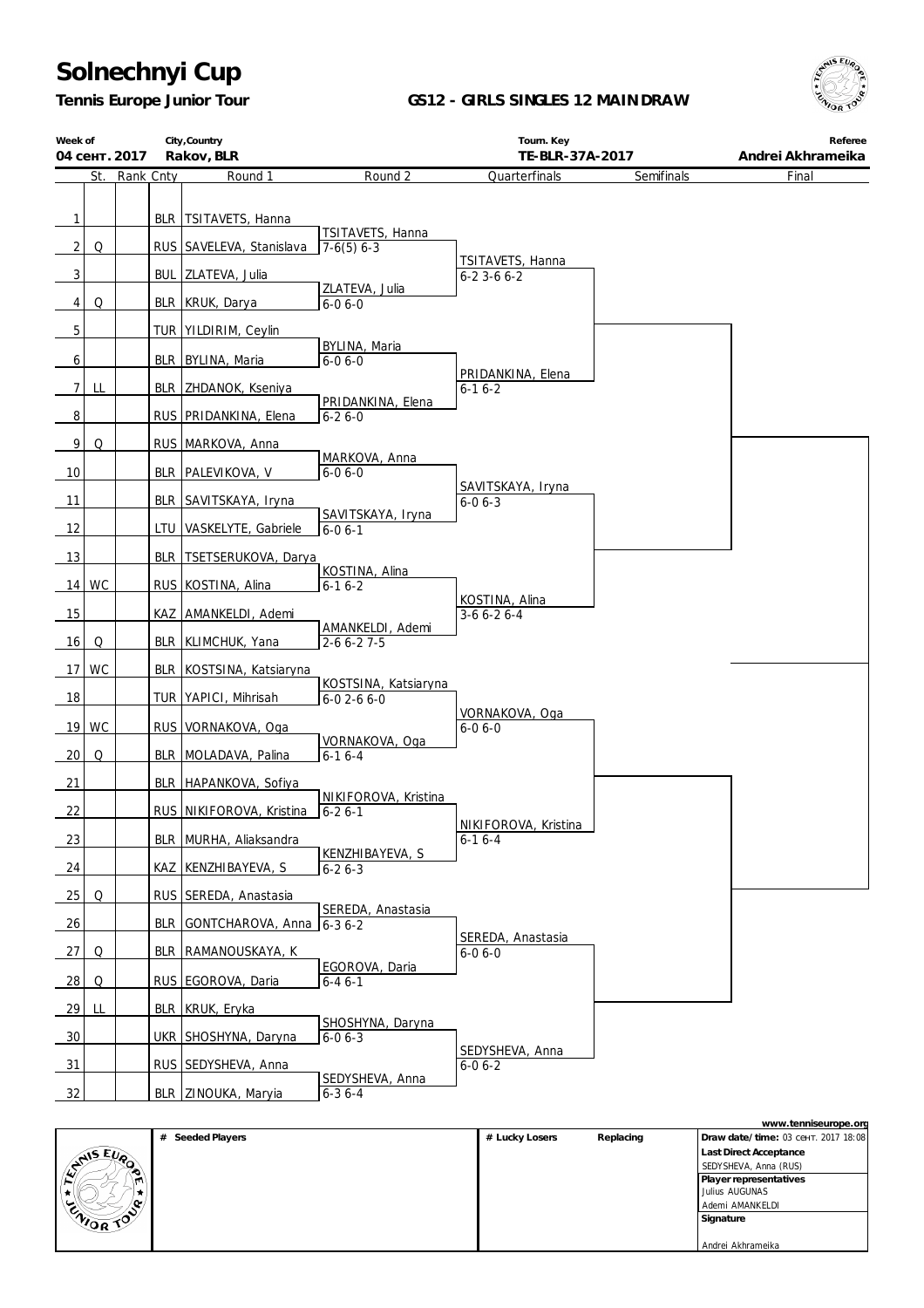## **Solnechnyi Cup**

*Tennis Europe Junior Tour*

## **GS12 - GIRLS SINGLES 12 MAINDRAW**



| Week of<br>04  |     | 2017      |            | City, Country<br>Rakov, BLR   |                                           | Tourn. Key<br>TE-BLR-37A-2017         |            | Referee<br>Andrei Akhrameika |
|----------------|-----|-----------|------------|-------------------------------|-------------------------------------------|---------------------------------------|------------|------------------------------|
|                | St. | Rank Cnty |            | Round 1                       | Round 2                                   | Quarterfinals                         | Semifinals | Final                        |
| $\mathbf{1}$   |     |           |            | BLR TSITAVETS, Hanna          | TSITAVETS, Hanna                          |                                       |            |                              |
| $\overline{2}$ | Q   |           |            | RUS SAVELEVA, Stanislava      | $7-6(5)$ 6-3                              |                                       |            |                              |
| $\mathbf{3}$   |     |           |            | BUL ZLATEVA, Julia            |                                           | TSITAVETS, Hanna<br>$6 - 23 - 66 - 2$ |            |                              |
| $\overline{4}$ | Q   |           |            | BLR KRUK, Darya               | ZLATEVA, Julia<br>$6 - 06 - 0$            |                                       |            |                              |
| $\overline{5}$ |     |           |            | TUR   YILDIRIM, Ceylin        |                                           |                                       |            |                              |
| 6              |     |           |            | BLR BYLINA, Maria             | BYLINA, Maria<br>$6 - 06 - 0$             |                                       |            |                              |
| $\overline{7}$ | LL  |           |            | BLR ZHDANOK, Kseniya          |                                           | PRIDANKINA, Elena<br>$6 - 16 - 2$     |            |                              |
| 8              |     |           |            | RUS PRIDANKINA, Elena         | PRIDANKINA, Elena<br>$6 - 26 - 0$         |                                       |            |                              |
| 9              | Q   |           |            | RUS MARKOVA, Anna             |                                           |                                       |            |                              |
| 10             |     |           | <b>BLR</b> | PALEVIKOVA, V                 | MARKOVA, Anna<br>$6 - 06 - 0$             |                                       |            |                              |
| 11             |     |           | <b>BLR</b> | SAVITSKAYA, Iryna             |                                           | SAVITSKAYA, Iryna<br>$6 - 06 - 3$     |            |                              |
| 12             |     |           | LTU        | VASKELYTE, Gabriele           | SAVITSKAYA, Iryna<br>$6-06-1$             |                                       |            |                              |
| 13             |     |           | <b>BLR</b> | TSETSERUKOVA, Darya           |                                           |                                       |            |                              |
| 14             | WC  |           |            | RUS KOSTINA, Alina            | KOSTINA, Alina<br>$6 - 16 - 2$            |                                       |            |                              |
| 15             |     |           |            | KAZ AMANKELDI, Ademi          |                                           | KOSTINA, Alina<br>$3-66-26-4$         |            |                              |
| 16             | Q   |           | <b>BLR</b> | KLIMCHUK, Yana                | AMANKELDI, Ademi<br>2-6 6-2 7-5           |                                       |            |                              |
| 17             | WC  |           | <b>BLR</b> | KOSTSINA, Katsiaryna          |                                           |                                       |            |                              |
| $\frac{18}{1}$ |     |           |            | TUR YAPICI, Mihrisah          | KOSTSINA, Katsiaryna<br>$6 - 02 - 66 - 0$ |                                       |            |                              |
| 19             | WC  |           |            | RUS VORNAKOVA, Oga            |                                           | VORNAKOVA, Oga<br>$6 - 06 - 0$        |            |                              |
| 20             | Q   |           |            | BLR MOLADAVA, Palina          | VORNAKOVA, Oga<br>$6 - 16 - 4$            |                                       |            |                              |
| 21             |     |           |            | BLR HAPANKOVA, Sofiya         |                                           |                                       |            |                              |
| 22             |     |           |            | RUS NIKIFOROVA, Kristina      | NIKIFOROVA, Kristina<br>$6 - 26 - 1$      |                                       |            |                              |
| 23             |     |           |            | BLR MURHA, Aliaksandra        |                                           | NIKIFOROVA, Kristina<br>$6-16-4$      |            |                              |
| 24             |     |           |            | KAZ KENZHIBAYEVA, S           | KENZHIBAYEVA, S<br>$6 - 26 - 3$           |                                       |            |                              |
| 25             | Q   |           |            | RUS SEREDA, Anastasia         |                                           |                                       |            |                              |
| 26             |     |           |            | BLR GONTCHAROVA, Anna 6-3 6-2 | SEREDA, Anastasia                         |                                       |            |                              |
| 27             | Q   |           |            | BLR RAMANOUSKAYA, K           |                                           | SEREDA, Anastasia<br>$6 - 06 - 0$     |            |                              |
| - 28           | Q   |           |            | RUS EGOROVA, Daria            | EGOROVA, Daria<br>$6 - 46 - 1$            |                                       |            |                              |
| $\frac{29}{ }$ | LL  |           | <b>BLR</b> | KRUK, Eryka                   |                                           |                                       |            |                              |
| $\frac{30}{2}$ |     |           |            | UKR SHOSHYNA, Daryna          | SHOSHYNA, Daryna<br>$6 - 06 - 3$          |                                       |            |                              |
| $\frac{31}{2}$ |     |           |            | RUS SEDYSHEVA, Anna           |                                           | SEDYSHEVA, Anna<br>$6 - 06 - 2$       |            |                              |
| 32             |     |           |            | BLR ZINOUKA, Maryia           | SEDYSHEVA, Anna<br>$6 - 36 - 4$           |                                       |            |                              |

| www.tenniseurope.org |                     |                |           |                        |            |
|----------------------|---------------------|----------------|-----------|------------------------|------------|
|                      | Seeded Players<br># | # Lucky Losers | Replacing | Draw date/time: 03     | .201718:08 |
|                      |                     |                |           | Last Direct Acceptance |            |
| ENIS EUP             |                     |                |           | SEDYSHEVA, Anna (RUS)  |            |
| m                    |                     |                |           | Player representatives |            |
|                      |                     |                |           | Julius AUGUNAS         |            |
|                      |                     |                |           | Ademi AMANKELDI        |            |
| ENIOR TOP            |                     |                |           | Signature              |            |
|                      |                     |                |           |                        |            |
|                      |                     |                |           | Andrei Akhrameika      |            |